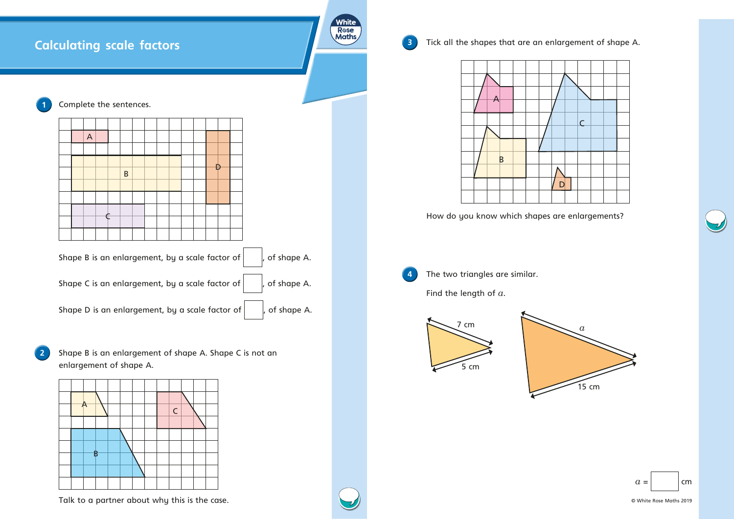



© White Rose Maths 2019